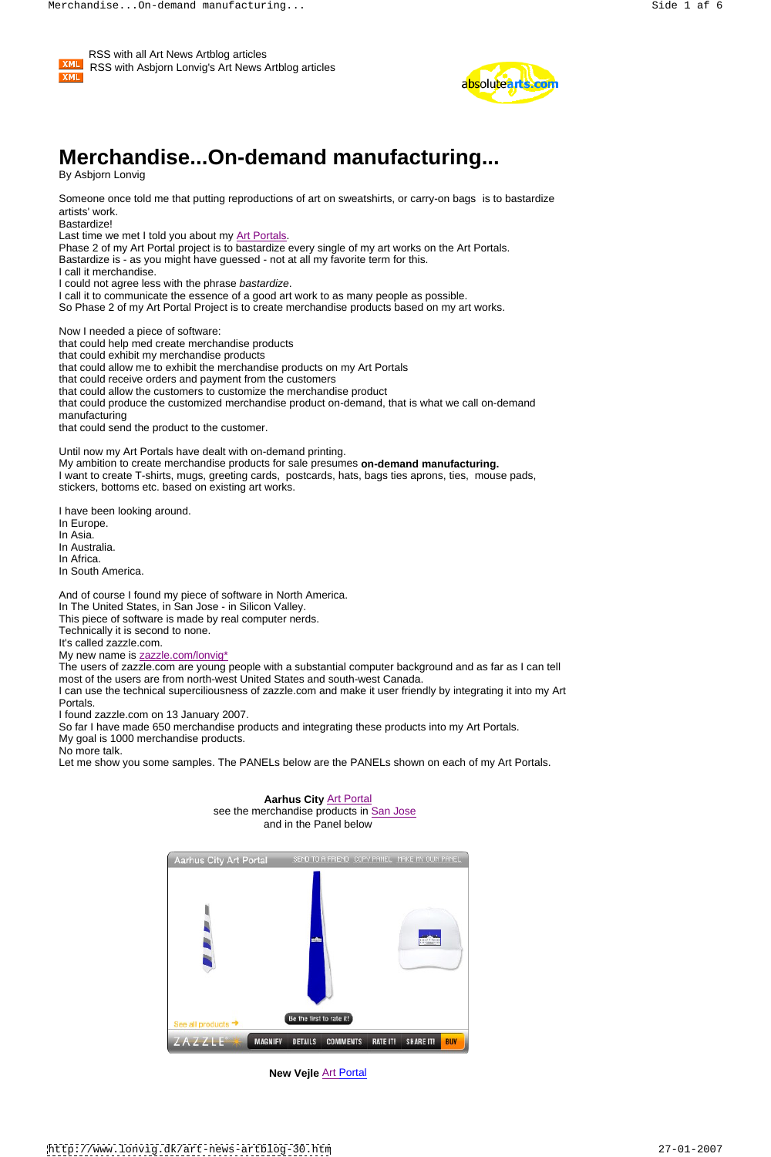



# **Merchandise...On-demand manufacturing...**

By Asbjorn Lonvig

Someone once told me that putting reproductions of art on sweatshirts, or carry-on bags is to bastardize artists' work.

Bastardize!

Last time we met I told you about my Art Portals.

Phase 2 of my Art Portal project is to bastardize every single of my art works on the Art Portals. Bastardize is - as you might have guessed - not at all my favorite term for this. I call it merchandise. I could not agree less with the phrase bastardize. I call it to communicate the essence of a good art work to as many people as possible. So Phase 2 of my Art Portal Project is to create merchandise products based on my art works.

Now I needed a piece of software: that could help med create merchandise products that could exhibit my merchandise products that could allow me to exhibit the merchandise products on my Art Portals that could receive orders and payment from the customers that could allow the customers to customize the merchandise product that could produce the customized merchandise product on-demand, that is what we call on-demand manufacturing that could send the product to the customer.

I can use the technical superciliousness of zazzle.com and make it user friendly by integrating it into my Art **Portals.** The contract of the contract of the contract of the contract of the contract of the contract of the contract of the contract of the contract of the contract of the contract of the contract of the contract of the

Until now my Art Portals have dealt with on-demand printing. My ambition to create merchandise products for sale presumes **on-demand manufacturing.** I want to create T-shirts, mugs, greeting cards, postcards, hats, bags ties aprons, ties, mouse pads, stickers, bottoms etc. based on existing art works.

I have been looking around.

In Europe.

In Asia.

In Australia.

In Africa.

In South America.

And of course I found my piece of software in North America.

In The United States, in San Jose - in Silicon Valley.

This piece of software is made by real computer nerds.

Technically it is second to none.

It's called zazzle.com.

My new name is zazzle.com/lonvig\*

The users of zazzle.com are young people with a substantial computer background and as far as I can tell most of the users are from north-west United States and south-west Canada.

I found zazzle.com on 13 January 2007.

So far I have made 650 merchandise products and integrating these products into my Art Portals.

My goal is 1000 merchandise products.

No more talk.

Let me show you some samples. The PANELs below are the PANELs shown on each of my Art Portals.

#### **Aarhus City** Art Portal





**New Vejle** Art Portal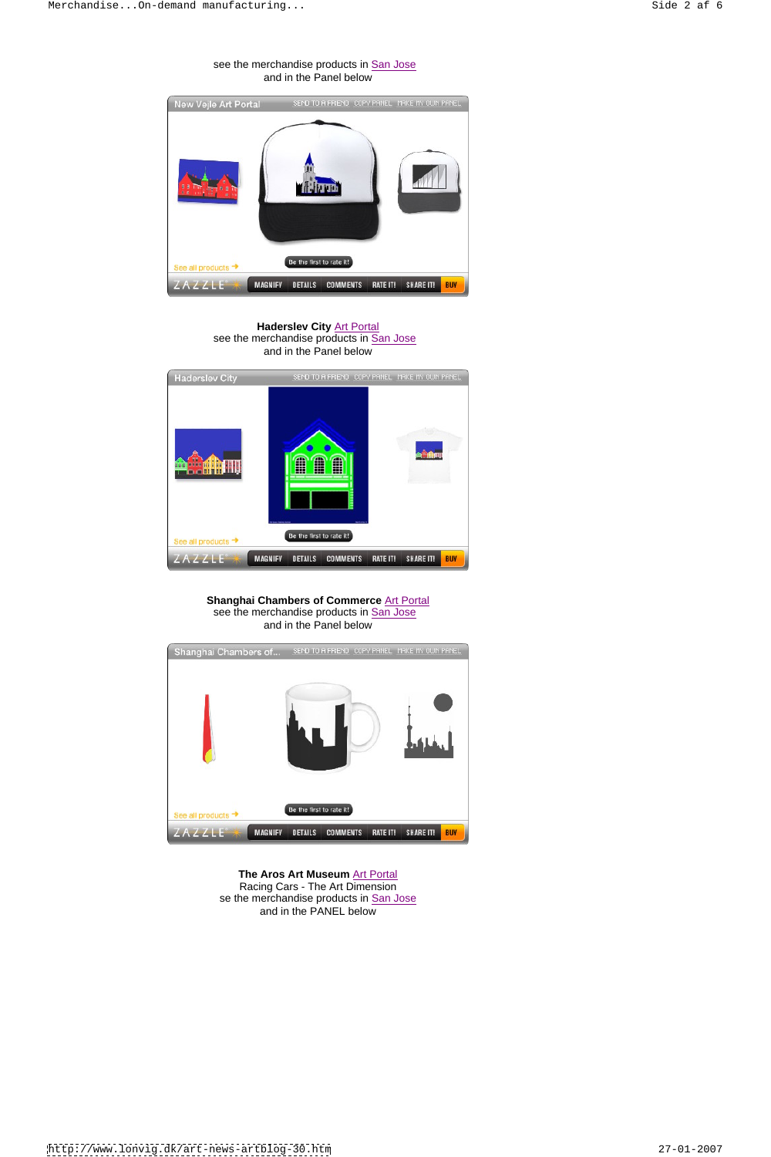## see the merchandise products in San Jose and in the Panel below



**Haderslev City** Art Portal see the merchandise products in San Jose<br>and in the Panel below and in the Panel below



# **Shanghai Chambers of Commerce** Art Portal see the merchandise products in San Jose and in the Panel below





#### **The Aros Art Museum** Art Portal

Racing Cars - The Art Dimension se the merchandise products in San Jose and in the PANEL below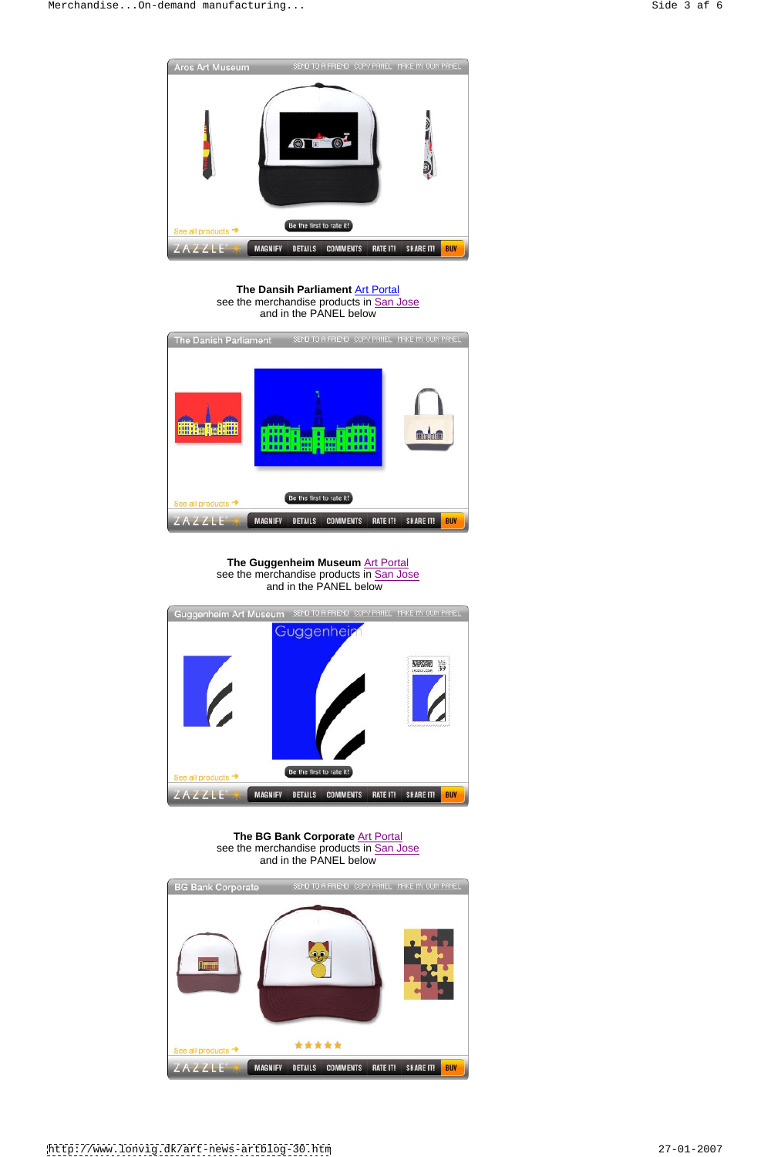

#### **The Dansih Parliament** Art Portal see the merchandise products in San Jose and in the PANEL below



#### **The Guggenheim Museum** Art Portal see the merchandise products in San Jose<br>and in the PANEL below and in the PANEL below



#### **The BG Bank Corporate** Art Portal see the merchandise products in San Jose and in the PANEL below

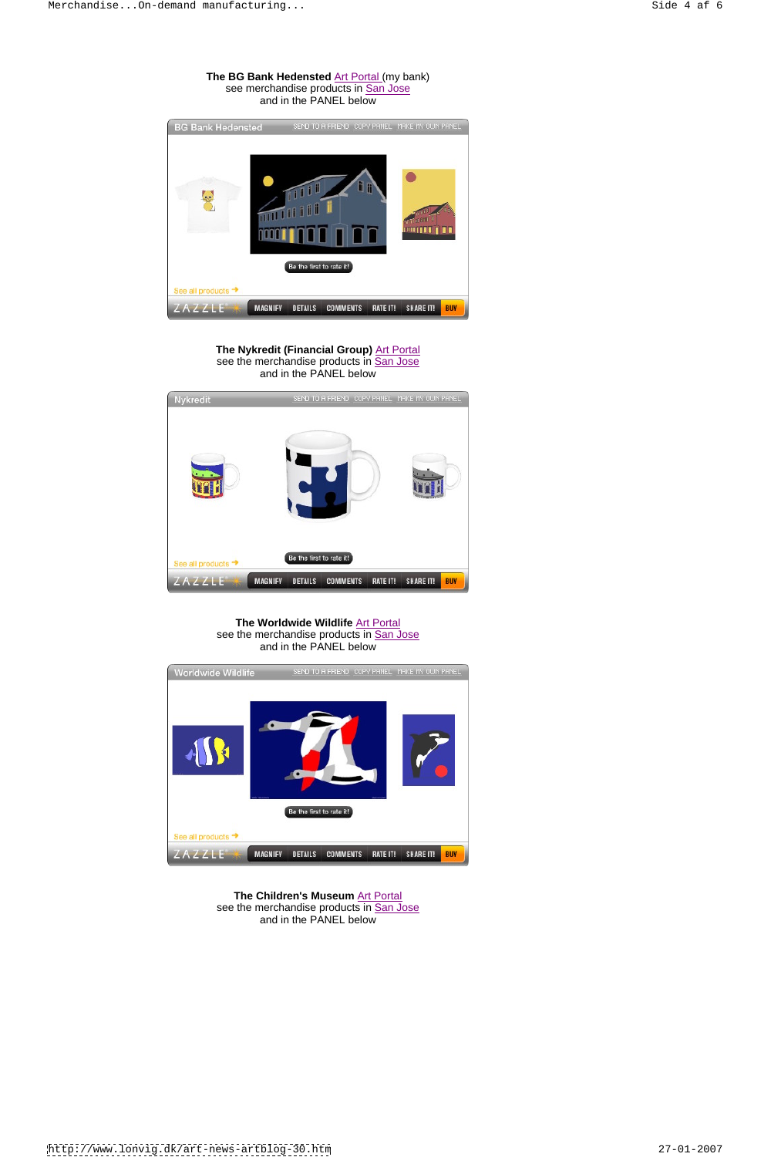## **The BG Bank Hedensted Art Portal (my bank)** see merchandise products in San Jose<br>and in the PANEL below and in the PANEL below



**The Nykredit (Financial Group) Art Portal** see the merchandise products in San Jose<br>and in the PANEL below and in the PANEL below



**The Worldwide Wildlife** Art Portal see the merchandise products in San Jose and in the PANEL below





**The Children's Museum** Art Portal see the merchandise products in San Jose and in the PANEL below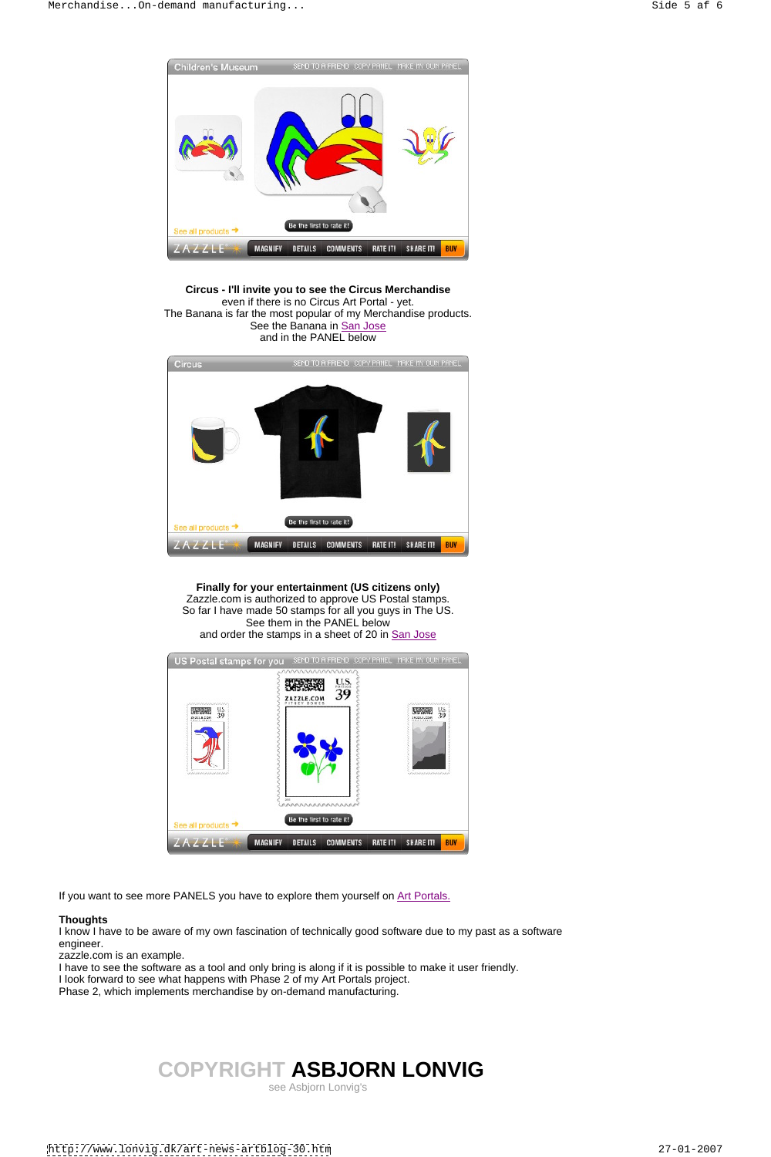

**Circus - I'll invite you to see the Circus Merchandise** even if there is no Circus Art Portal - yet. The Banana is far the most popular of my Merchandise products. See the Banana in San Jose and in the PANEL below



**Finally for your entertainment (US citizens only)** Zazzle.com is authorized to approve US Postal stamps. So far I have made 50 stamps for all you guys in The US. See them in the PANEL below and order the stamps in a sheet of 20 in San Jose



If you want to see more PANELS you have to explore them yourself on Art Portals.

#### **Thoughts**

I know I have to be aware of my own fascination of technically good software due to my past as a software engineer.

zazzle.com is an example.

I have to see the software as a tool and only bring is along if it is possible to make it user friendly.

I look forward to see what happens with Phase 2 of my Art Portals project.

Phase 2, which implements merchandise by on-demand manufacturing.

# **COPYRIGHT ASBJORN LONVIG**

see Asbjorn Lonvig's